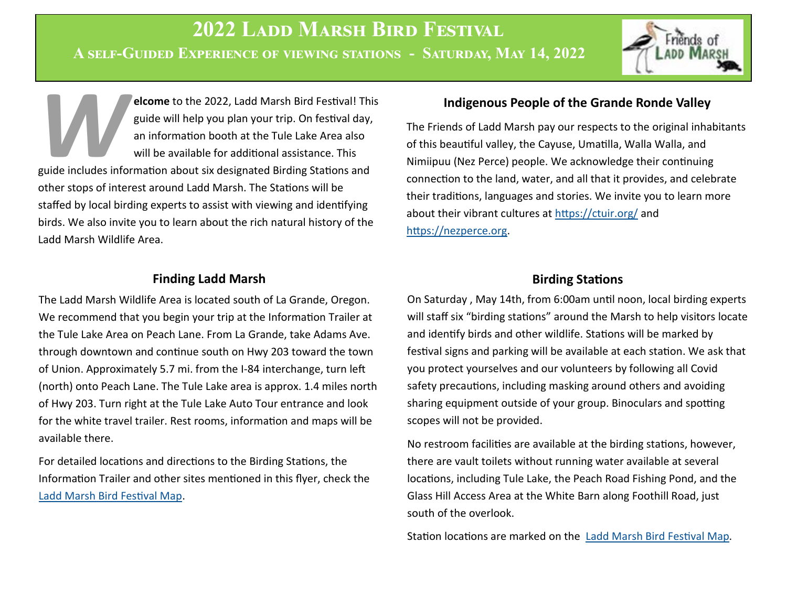**Elcome** to the 2022, Ladd Marsh Bird Festival! This guide will help you plan your trip. On festival day, an information booth at the Tule Lake Area also will be available for additional assistance. This guide includes inf **elcome** to the 2022, Ladd Marsh Bird Festival! This guide will help you plan your trip. On festival day, an information booth at the Tule Lake Area also will be available for additional assistance. This other stops of interest around Ladd Marsh. The Stations will be staffed by local birding experts to assist with viewing and identifying birds. We also invite you to learn about the rich natural history of the Ladd Marsh Wildlife Area.

## **Finding Ladd Marsh**

The Ladd Marsh Wildlife Area is located south of La Grande, Oregon. We recommend that you begin your trip at the Information Trailer at the Tule Lake Area on Peach Lane. From La Grande, take Adams Ave. through downtown and continue south on Hwy 203 toward the town of Union. Approximately 5.7 mi. from the I-84 interchange, turn left (north) onto Peach Lane. The Tule Lake area is approx. 1.4 miles north of Hwy 203. Turn right at the Tule Lake Auto Tour entrance and look for the white travel trailer. Rest rooms, information and maps will be available there.

For detailed locations and directions to the Birding Stations, the Information Trailer and other sites mentioned in this flyer, check the [Ladd Marsh Bird Festival Map.](https://www.google.com/maps/d/u/0/edit?mid=1sM_u7_1PJfx2dJNf-FYwcJFrdv8q0sul&usp=sharing)

# **Indigenous People of the Grande Ronde Valley**

The Friends of Ladd Marsh pay our respects to the original inhabitants of this beautiful valley, the Cayuse, Umatilla, Walla Walla, and Nimiipuu (Nez Perce) people. We acknowledge their continuing connection to the land, water, and all that it provides, and celebrate their traditions, languages and stories. We invite you to learn more about their vibrant cultures at <https://ctuir.org/> and [https://nezperce.org.](https://nezperce.org)

# **Birding Stations**

On Saturday , May 14th, from 6:00am until noon, local birding experts will staff six "birding stations" around the Marsh to help visitors locate and identify birds and other wildlife. Stations will be marked by festival signs and parking will be available at each station. We ask that you protect yourselves and our volunteers by following all Covid safety precautions, including masking around others and avoiding sharing equipment outside of your group. Binoculars and spotting scopes will not be provided.

No restroom facilities are available at the birding stations, however, there are vault toilets without running water available at several locations, including Tule Lake, the Peach Road Fishing Pond, and the Glass Hill Access Area at the White Barn along Foothill Road, just south of the overlook.

Station locations are marked on the [Ladd Marsh Bird Festival Map.](https://www.google.com/maps/d/u/0/edit?mid=1sM_u7_1PJfx2dJNf-FYwcJFrdv8q0sul&usp=sharing)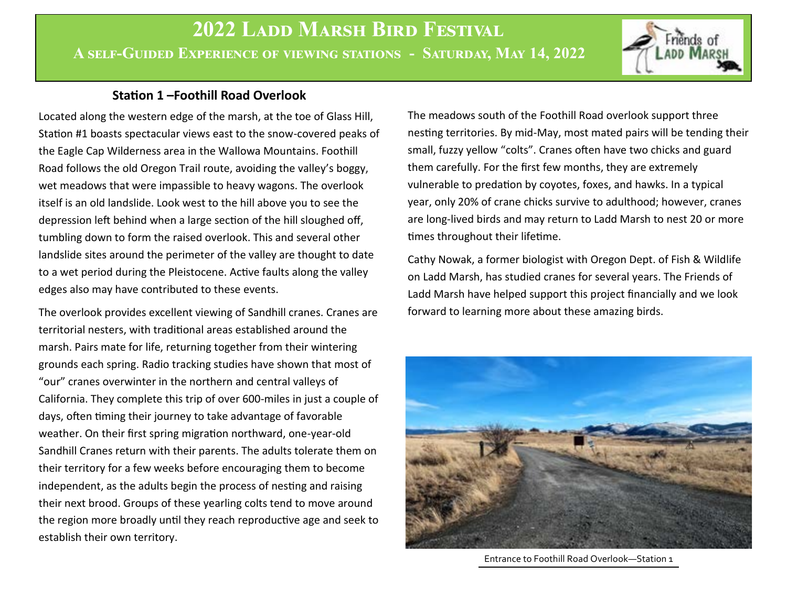

## **Station 1 –Foothill Road Overlook**

Located along the western edge of the marsh, at the toe of Glass Hill, Station #1 boasts spectacular views east to the snow-covered peaks of the Eagle Cap Wilderness area in the Wallowa Mountains. Foothill Road follows the old Oregon Trail route, avoiding the valley's boggy, wet meadows that were impassible to heavy wagons. The overlook itself is an old landslide. Look west to the hill above you to see the depression left behind when a large section of the hill sloughed off, tumbling down to form the raised overlook. This and several other landslide sites around the perimeter of the valley are thought to date to a wet period during the Pleistocene. Active faults along the valley edges also may have contributed to these events.

The overlook provides excellent viewing of Sandhill cranes. Cranes are territorial nesters, with traditional areas established around the marsh. Pairs mate for life, returning together from their wintering grounds each spring. Radio tracking studies have shown that most of "our" cranes overwinter in the northern and central valleys of California. They complete this trip of over 600-miles in just a couple of days, often timing their journey to take advantage of favorable weather. On their first spring migration northward, one-year-old Sandhill Cranes return with their parents. The adults tolerate them on their territory for a few weeks before encouraging them to become independent, as the adults begin the process of nesting and raising their next brood. Groups of these yearling colts tend to move around the region more broadly until they reach reproductive age and seek to establish their own territory.

The meadows south of the Foothill Road overlook support three nesting territories. By mid-May, most mated pairs will be tending their small, fuzzy yellow "colts". Cranes often have two chicks and guard them carefully. For the first few months, they are extremely vulnerable to predation by coyotes, foxes, and hawks. In a typical year, only 20% of crane chicks survive to adulthood; however, cranes are long-lived birds and may return to Ladd Marsh to nest 20 or more times throughout their lifetime.

Cathy Nowak, a former biologist with Oregon Dept. of Fish & Wildlife on Ladd Marsh, has studied cranes for several years. The Friends of Ladd Marsh have helped support this project financially and we look forward to learning more about these amazing birds.



Entrance to Foothill Road Overlook—Station 1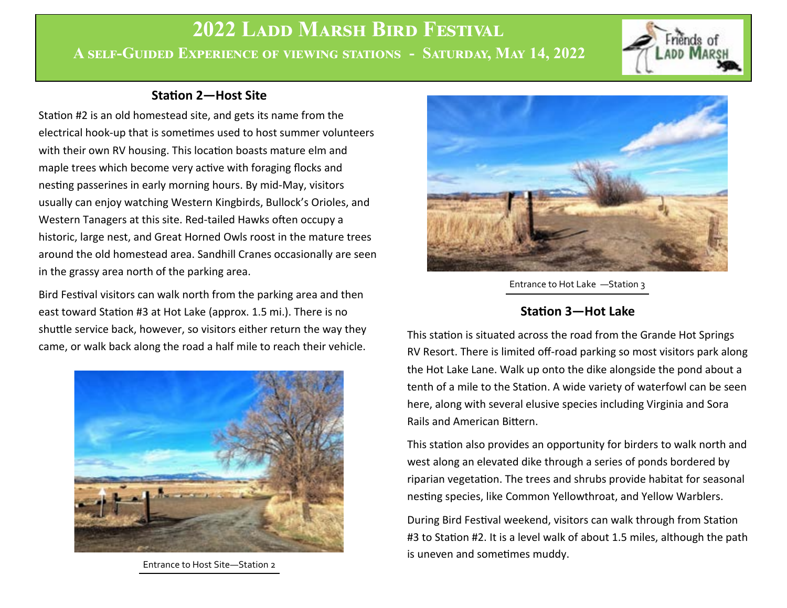

### **Station 2—Host Site**

Station #2 is an old homestead site, and gets its name from the electrical hook-up that is sometimes used to host summer volunteers with their own RV housing. This location boasts mature elm and maple trees which become very active with foraging flocks and nesting passerines in early morning hours. By mid-May, visitors usually can enjoy watching Western Kingbirds, Bullock's Orioles, and Western Tanagers at this site. Red-tailed Hawks often occupy a historic, large nest, and Great Horned Owls roost in the mature trees around the old homestead area. Sandhill Cranes occasionally are seen in the grassy area north of the parking area.

Bird Festival visitors can walk north from the parking area and then east toward Station #3 at Hot Lake (approx. 1.5 mi.). There is no shuttle service back, however, so visitors either return the way they came, or walk back along the road a half mile to reach their vehicle.



Entrance to Host Site—Station 2



Entrance to Hot Lake —Station 3

# **Station 3—Hot Lake**

This station is situated across the road from the Grande Hot Springs RV Resort. There is limited off-road parking so most visitors park along the Hot Lake Lane. Walk up onto the dike alongside the pond about a tenth of a mile to the Station. A wide variety of waterfowl can be seen here, along with several elusive species including Virginia and Sora Rails and American Bittern.

This station also provides an opportunity for birders to walk north and west along an elevated dike through a series of ponds bordered by riparian vegetation. The trees and shrubs provide habitat for seasonal nesting species, like Common Yellowthroat, and Yellow Warblers.

During Bird Festival weekend, visitors can walk through from Station #3 to Station #2. It is a level walk of about 1.5 miles, although the path is uneven and sometimes muddy.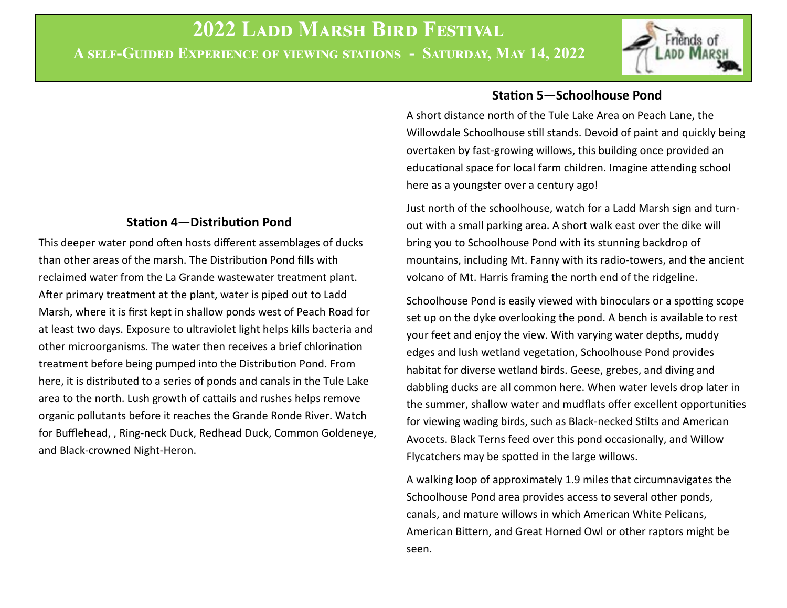#### **Station 4—Distribution Pond**

This deeper water pond often hosts different assemblages of ducks than other areas of the marsh. The Distribution Pond fills with reclaimed water from the La Grande wastewater treatment plant. After primary treatment at the plant, water is piped out to Ladd Marsh, where it is first kept in shallow ponds west of Peach Road for at least two days. Exposure to ultraviolet light helps kills bacteria and other microorganisms. The water then receives a brief chlorination treatment before being pumped into the Distribution Pond. From here, it is distributed to a series of ponds and canals in the Tule Lake area to the north. Lush growth of cattails and rushes helps remove organic pollutants before it reaches the Grande Ronde River. Watch for Bufflehead, , Ring-neck Duck, Redhead Duck, Common Goldeneye, and Black-crowned Night-Heron.

#### **Station 5—Schoolhouse Pond**

A short distance north of the Tule Lake Area on Peach Lane, the Willowdale Schoolhouse still stands. Devoid of paint and quickly being overtaken by fast-growing willows, this building once provided an educational space for local farm children. Imagine attending school here as a youngster over a century ago!

Just north of the schoolhouse, watch for a Ladd Marsh sign and turnout with a small parking area. A short walk east over the dike will bring you to Schoolhouse Pond with its stunning backdrop of mountains, including Mt. Fanny with its radio-towers, and the ancient volcano of Mt. Harris framing the north end of the ridgeline.

Schoolhouse Pond is easily viewed with binoculars or a spotting scope set up on the dyke overlooking the pond. A bench is available to rest your feet and enjoy the view. With varying water depths, muddy edges and lush wetland vegetation, Schoolhouse Pond provides habitat for diverse wetland birds. Geese, grebes, and diving and dabbling ducks are all common here. When water levels drop later in the summer, shallow water and mudflats offer excellent opportunities for viewing wading birds, such as Black-necked Stilts and American Avocets. Black Terns feed over this pond occasionally, and Willow Flycatchers may be spotted in the large willows.

A walking loop of approximately 1.9 miles that circumnavigates the Schoolhouse Pond area provides access to several other ponds, canals, and mature willows in which American White Pelicans, American Bittern, and Great Horned Owl or other raptors might be seen.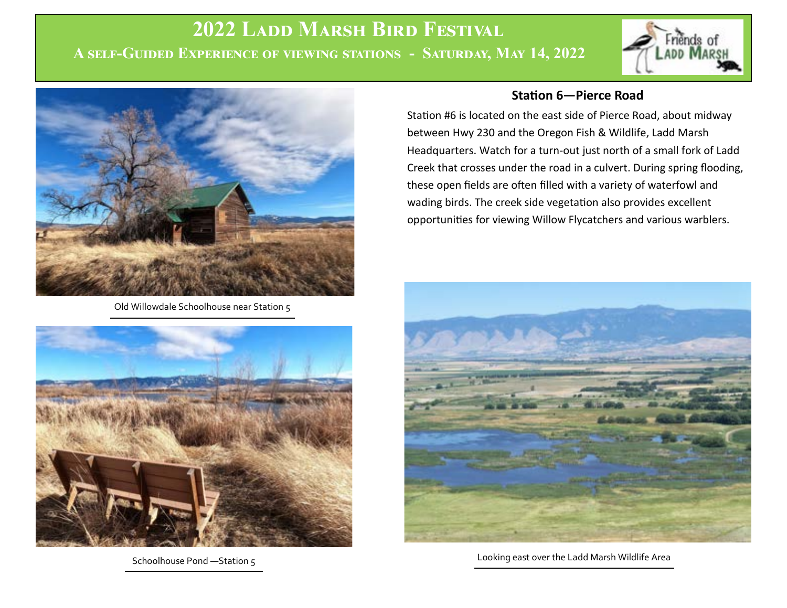

Old Willowdale Schoolhouse near Station 5



Schoolhouse Pond - Station 5

#### **Station 6—Pierce Road**

Station #6 is located on the east side of Pierce Road, about midway between Hwy 230 and the Oregon Fish & Wildlife, Ladd Marsh Headquarters. Watch for a turn-out just north of a small fork of Ladd Creek that crosses under the road in a culvert. During spring flooding, these open fields are often filled with a variety of waterfowl and wading birds. The creek side vegetation also provides excellent opportunities for viewing Willow Flycatchers and various warblers.



Looking east over the Ladd Marsh Wildlife Area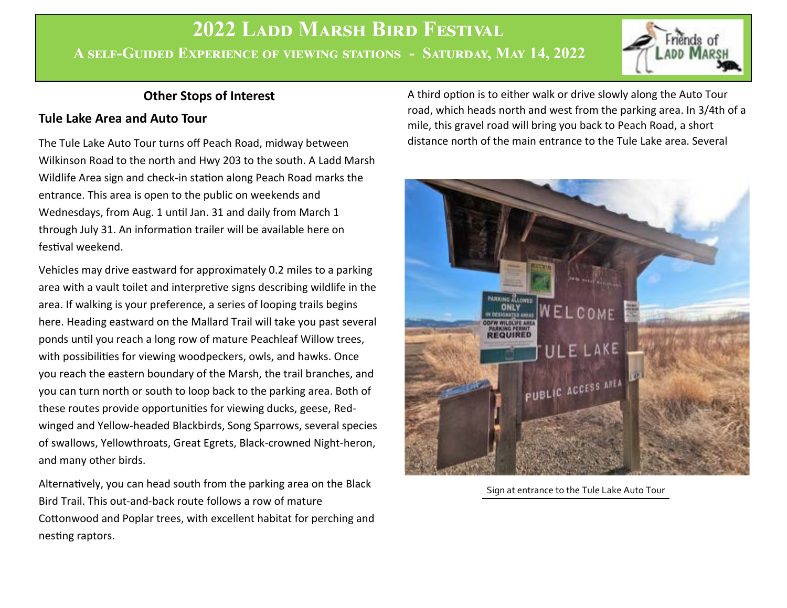### **Other Stops of Interest**

### **Tule Lake Area and Auto Tour**

The Tule Lake Auto Tour turns off Peach Road, midway between Wilkinson Road to the north and Hwy 203 to the south. A Ladd Marsh Wildlife Area sign and check-in station along Peach Road marks the entrance. This area is open to the public on weekends and Wednesdays, from Aug. 1 until Jan. 31 and daily from March 1 through July 31. An information trailer will be available here on festival weekend.

Vehicles may drive eastward for approximately 0.2 miles to a parking area with a vault toilet and interpretive signs describing wildlife in the area. If walking is your preference, a series of looping trails begins here. Heading eastward on the Mallard Trail will take you past several ponds until you reach a long row of mature Peachleaf Willow trees, with possibilities for viewing woodpeckers, owls, and hawks. Once you reach the eastern boundary of the Marsh, the trail branches, and you can turn north or south to loop back to the parking area. Both of these routes provide opportunities for viewing ducks, geese, Redwinged and Yellow-headed Blackbirds, Song Sparrows, several species of swallows, Yellowthroats, Great Egrets, Black-crowned Night-heron, and many other birds.

Alternatively, you can head south from the parking area on the Black Bird Trail. This out-and-back route follows a row of mature Cottonwood and Poplar trees, with excellent habitat for perching and nesting raptors.

A third option is to either walk or drive slowly along the Auto Tour road, which heads north and west from the parking area. In 3/4th of a mile, this gravel road will bring you back to Peach Road, a short distance north of the main entrance to the Tule Lake area. Several



Sign at entrance to the Tule Lake Auto Tour

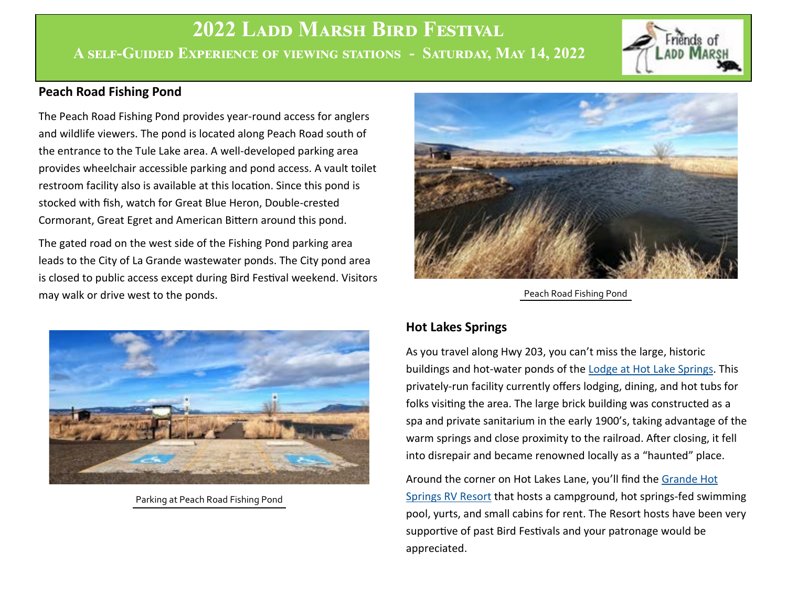## **Peach Road Fishing Pond**

The Peach Road Fishing Pond provides year-round access for anglers and wildlife viewers. The pond is located along Peach Road south of the entrance to the Tule Lake area. A well-developed parking area provides wheelchair accessible parking and pond access. A vault toilet restroom facility also is available at this location. Since this pond is stocked with fish, watch for Great Blue Heron, Double-crested Cormorant, Great Egret and American Bittern around this pond.

The gated road on the west side of the Fishing Pond parking area leads to the City of La Grande wastewater ponds. The City pond area is closed to public access except during Bird Festival weekend. Visitors may walk or drive west to the ponds.



Parking at Peach Road Fishing Pond



Peach Road Fishing Pond

# **Hot Lakes Springs**

As you travel along Hwy 203, you can't miss the large, historic buildings and hot-water ponds of the [Lodge at Hot Lake Springs.](https://hotlakelodge.com/) This privately-run facility currently offers lodging, dining, and hot tubs for folks visiting the area. The large brick building was constructed as a spa and private sanitarium in the early 1900's, taking advantage of the warm springs and close proximity to the railroad. After closing, it fell into disrepair and became renowned locally as a "haunted" place.

Around the corner on Hot Lakes Lane, you'll find the [Grande Hot](https://grandehotsprings.com/)  [Springs RV Resort](https://grandehotsprings.com/) that hosts a campground, hot springs-fed swimming pool, yurts, and small cabins for rent. The Resort hosts have been very supportive of past Bird Festivals and your patronage would be appreciated.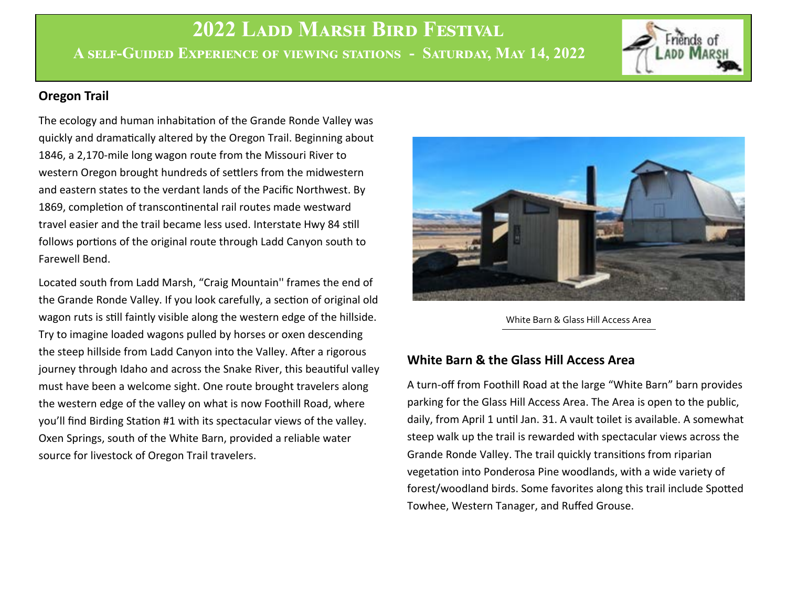## **Oregon Trail**

The ecology and human inhabitation of the Grande Ronde Valley was quickly and dramatically altered by the Oregon Trail. Beginning about 1846, a 2,170-mile long wagon route from the Missouri River to western Oregon brought hundreds of settlers from the midwestern and eastern states to the verdant lands of the Pacific Northwest. By 1869, completion of transcontinental rail routes made westward travel easier and the trail became less used. Interstate Hwy 84 still follows portions of the original route through Ladd Canyon south to Farewell Bend.

Located south from Ladd Marsh, "Craig Mountain'' frames the end of the Grande Ronde Valley. If you look carefully, a section of original old wagon ruts is still faintly visible along the western edge of the hillside. Try to imagine loaded wagons pulled by horses or oxen descending the steep hillside from Ladd Canyon into the Valley. After a rigorous journey through Idaho and across the Snake River, this beautiful valley must have been a welcome sight. One route brought travelers along the western edge of the valley on what is now Foothill Road, where you'll find Birding Station #1 with its spectacular views of the valley. Oxen Springs, south of the White Barn, provided a reliable water source for livestock of Oregon Trail travelers.



White Barn & Glass Hill Access Area

## **White Barn & the Glass Hill Access Area**

A turn-off from Foothill Road at the large "White Barn" barn provides parking for the Glass Hill Access Area. The Area is open to the public, daily, from April 1 until Jan. 31. A vault toilet is available. A somewhat steep walk up the trail is rewarded with spectacular views across the Grande Ronde Valley. The trail quickly transitions from riparian vegetation into Ponderosa Pine woodlands, with a wide variety of forest/woodland birds. Some favorites along this trail include Spotted Towhee, Western Tanager, and Ruffed Grouse.